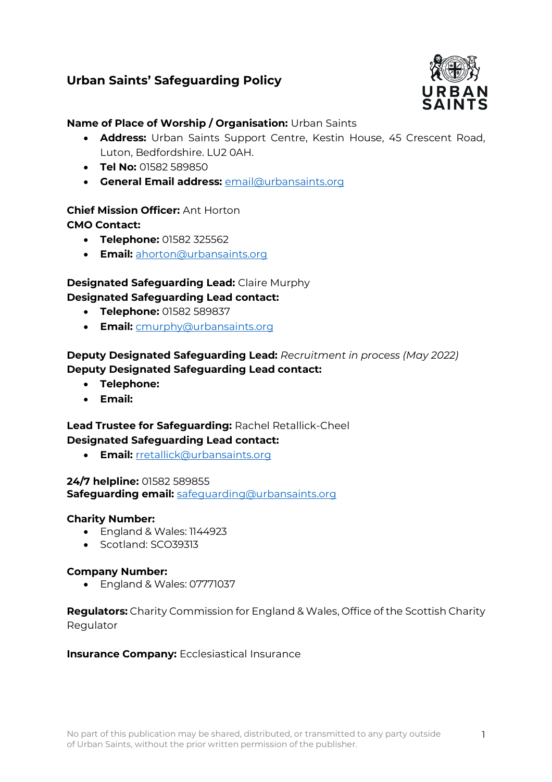# **Urban Saints' Safeguarding Policy**



## **Name of Place of Worship / Organisation:** Urban Saints

- **Address:** Urban Saints Support Centre, Kestin House, 45 Crescent Road, Luton, Bedfordshire. LU2 0AH.
- **Tel No:** 01582 589850
- **General Email address:** [email@urbansaints.org](mailto:email@urbansaints.org)

## **Chief Mission Officer:** Ant Horton **CMO Contact:**

- **Telephone:** 01582 325562
- **Email:** [ahorton@urbansaints.org](mailto:ahorton@urbansaints.org)

## **Designated Safeguarding Lead:** Claire Murphy **Designated Safeguarding Lead contact:**

- **Telephone:** 01582 589837
- **Email:** [cmurphy@urbansaints.org](mailto:cmurphy@urbansaints.org)

## **Deputy Designated Safeguarding Lead:** *Recruitment in process (May 2022)* **Deputy Designated Safeguarding Lead contact:**

- **Telephone:**
- **Email:**

### **Lead Trustee for Safeguarding:** Rachel Retallick-Cheel **Designated Safeguarding Lead contact:**

• **Email:** [rretallick@urbansaints.org](mailto:rretallick@urbansaints.org)

## **24/7 helpline:** 01582 589855 **Safeguarding email:** [safeguarding@urbansaints.org](mailto:safeguarding@urbansaints.org)

### **Charity Number:**

- England & Wales: 1144923
- Scotland: SCO39313

### **Company Number:**

• England & Wales: 07771037

## **Regulators:** Charity Commission for England & Wales, Office of the Scottish Charity Regulator

### **Insurance Company:** Ecclesiastical Insurance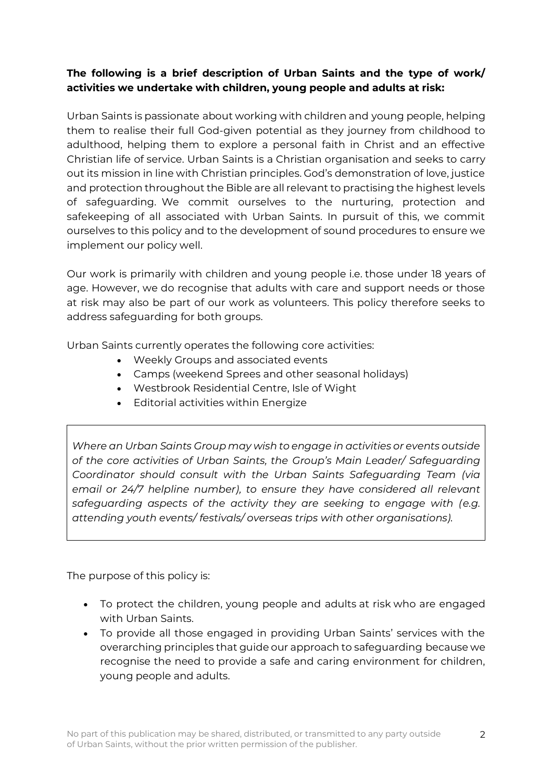# **The following is a brief description of Urban Saints and the type of work/ activities we undertake with children, young people and adults at risk:**

Urban Saints is passionate about working with children and young people, helping them to realise their full God-given potential as they journey from childhood to adulthood, helping them to explore a personal faith in Christ and an effective Christian life of service. Urban Saints is a Christian organisation and seeks to carry out its mission in line with Christian principles. God's demonstration of love, justice and protection throughout the Bible are all relevant to practising the highest levels of safeguarding. We commit ourselves to the nurturing, protection and safekeeping of all associated with Urban Saints. In pursuit of this, we commit ourselves to this policy and to the development of sound procedures to ensure we implement our policy well.

Our work is primarily with children and young people i.e. those under 18 years of age. However, we do recognise that adults with care and support needs or those at risk may also be part of our work as volunteers. This policy therefore seeks to address safeguarding for both groups.

Urban Saints currently operates the following core activities:

- Weekly Groups and associated events
- Camps (weekend Sprees and other seasonal holidays)
- Westbrook Residential Centre, Isle of Wight
- Editorial activities within Energize

*Where an Urban Saints Group may wish to engage in activities or events outside of the core activities of Urban Saints, the Group's Main Leader/ Safeguarding Coordinator should consult with the Urban Saints Safeguarding Team (via email or 24/7 helpline number), to ensure they have considered all relevant safeguarding aspects of the activity they are seeking to engage with (e.g. attending youth events/ festivals/ overseas trips with other organisations).*

The purpose of this policy is:

- To protect the children, young people and adults at risk who are engaged with Urban Saints.
- To provide all those engaged in providing Urban Saints' services with the overarching principles that guide our approach to safeguarding because we recognise the need to provide a safe and caring environment for children, young people and adults.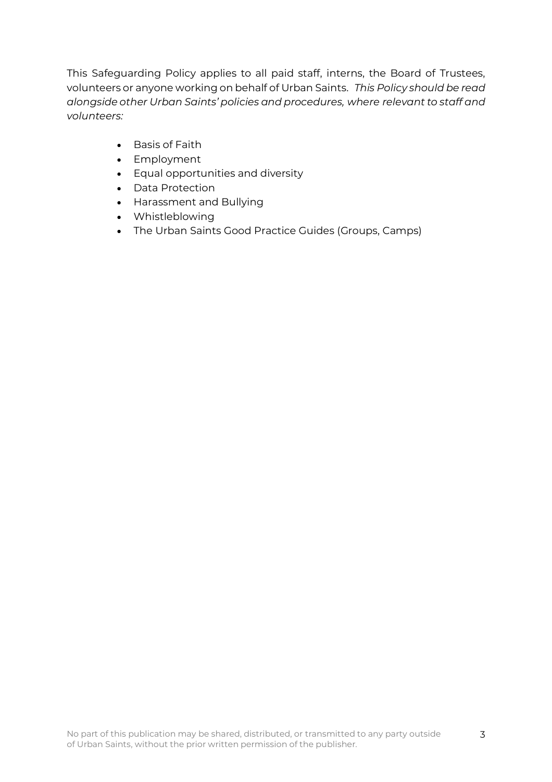This Safeguarding Policy applies to all paid staff, interns, the Board of Trustees, volunteers or anyone working on behalf of Urban Saints. *This Policy should be read alongside other Urban Saints' policies and procedures, where relevant to staff and volunteers:*

- Basis of Faith
- Employment
- Equal opportunities and diversity
- Data Protection
- Harassment and Bullying
- Whistleblowing
- The Urban Saints Good Practice Guides (Groups, Camps)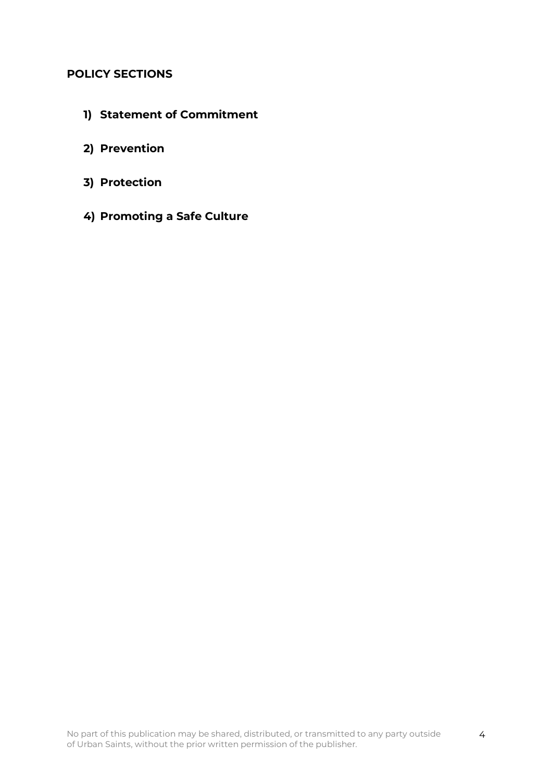## **POLICY SECTIONS**

- **1) Statement of Commitment**
- **2) Prevention**
- **3) Protection**
- **4) Promoting a Safe Culture**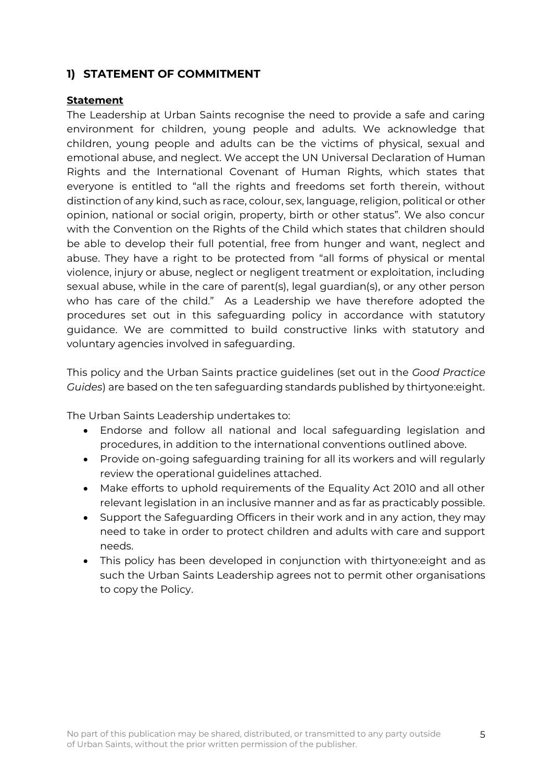# **1) STATEMENT OF COMMITMENT**

### **Statement**

The Leadership at Urban Saints recognise the need to provide a safe and caring environment for children, young people and adults. We acknowledge that children, young people and adults can be the victims of physical, sexual and emotional abuse, and neglect. We accept the UN Universal Declaration of Human Rights and the International Covenant of Human Rights, which states that everyone is entitled to "all the rights and freedoms set forth therein, without distinction of any kind, such as race, colour, sex, language, religion, political or other opinion, national or social origin, property, birth or other status". We also concur with the Convention on the Rights of the Child which states that children should be able to develop their full potential, free from hunger and want, neglect and abuse. They have a right to be protected from "all forms of physical or mental violence, injury or abuse, neglect or negligent treatment or exploitation, including sexual abuse, while in the care of parent(s), legal guardian(s), or any other person who has care of the child." As a Leadership we have therefore adopted the procedures set out in this safeguarding policy in accordance with statutory guidance. We are committed to build constructive links with statutory and voluntary agencies involved in safeguarding.

This policy and the Urban Saints practice guidelines (set out in the *Good Practice Guides*) are based on the ten safeguarding standards published by thirtyone:eight.

The Urban Saints Leadership undertakes to:

- Endorse and follow all national and local safeguarding legislation and procedures, in addition to the international conventions outlined above.
- Provide on-going safeguarding training for all its workers and will regularly review the operational guidelines attached.
- Make efforts to uphold requirements of the Equality Act 2010 and all other relevant legislation in an inclusive manner and as far as practicably possible.
- Support the Safeguarding Officers in their work and in any action, they may need to take in order to protect children and adults with care and support needs.
- This policy has been developed in conjunction with thirtyone:eight and as such the Urban Saints Leadership agrees not to permit other organisations to copy the Policy.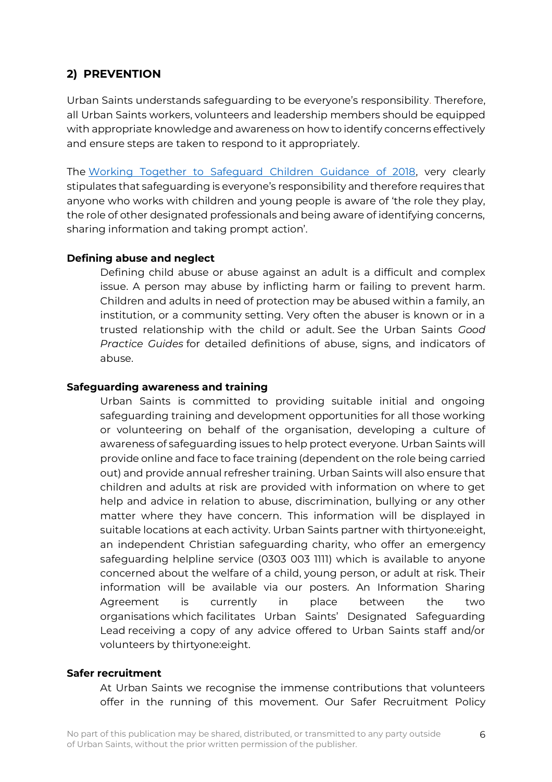# **2) PREVENTION**

Urban Saints understands safeguarding to be everyone's responsibility. Therefore, all Urban Saints workers, volunteers and leadership members should be equipped with appropriate knowledge and awareness on how to identify concerns effectively and ensure steps are taken to respond to it appropriately.

The [Working Together to Safeguard Children Guidance of 2018,](https://assets.publishing.service.gov.uk/government/uploads/system/uploads/attachment_data/file/779401/Working_Together_to_Safeguard-Children.pdf) very clearly stipulates that safeguarding is everyone's responsibility and therefore requires that anyone who works with children and young people is aware of 'the role they play, the role of other designated professionals and being aware of identifying concerns, sharing information and taking prompt action'.

### **Defining abuse and neglect**

Defining child abuse or abuse against an adult is a difficult and complex issue. A person may abuse by inflicting harm or failing to prevent harm. Children and adults in need of protection may be abused within a family, an institution, or a community setting. Very often the abuser is known or in a trusted relationship with the child or adult. See the Urban Saints *Good Practice Guides* for detailed definitions of abuse, signs, and indicators of abuse.

### **Safeguarding awareness and training**

Urban Saints is committed to providing suitable initial and ongoing safeguarding training and development opportunities for all those working or volunteering on behalf of the organisation, developing a culture of awareness of safeguarding issues to help protect everyone. Urban Saints will provide online and face to face training (dependent on the role being carried out) and provide annual refresher training. Urban Saints will also ensure that children and adults at risk are provided with information on where to get help and advice in relation to abuse, discrimination, bullying or any other matter where they have concern. This information will be displayed in suitable locations at each activity. Urban Saints partner with thirtyone:eight, an independent Christian safeguarding charity, who offer an emergency safeguarding helpline service (0303 003 1111) which is available to anyone concerned about the welfare of a child, young person, or adult at risk. Their information will be available via our posters. An Information Sharing Agreement is currently in place between the two organisations which facilitates Urban Saints' Designated Safeguarding Lead receiving a copy of any advice offered to Urban Saints staff and/or volunteers by thirtyone:eight.

### **Safer recruitment**

At Urban Saints we recognise the immense contributions that volunteers offer in the running of this movement. Our Safer Recruitment Policy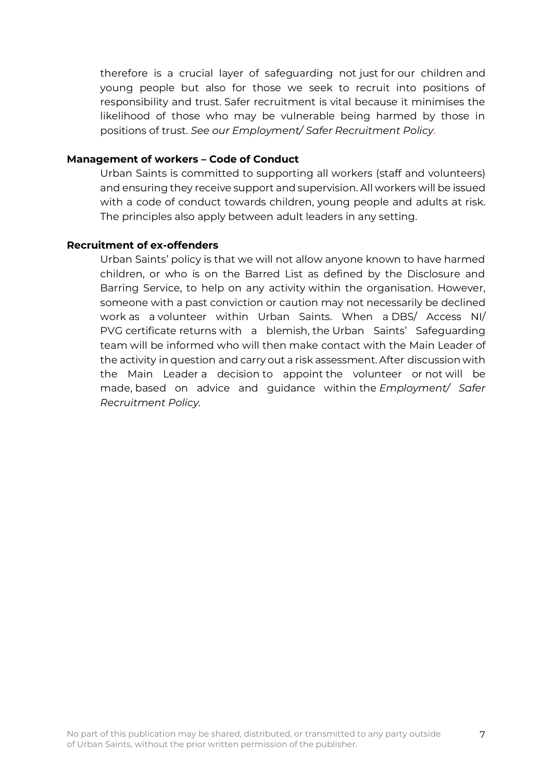therefore is a crucial layer of safeguarding not just for our children and young people but also for those we seek to recruit into positions of responsibility and trust. Safer recruitment is vital because it minimises the likelihood of those who may be vulnerable being harmed by those in positions of trust. *See our Employment/ Safer Recruitment Policy*.

#### **Management of workers – Code of Conduct**

Urban Saints is committed to supporting all workers (staff and volunteers) and ensuring they receive support and supervision. All workers will be issued with a code of conduct towards children, young people and adults at risk. The principles also apply between adult leaders in any setting.

#### **Recruitment of ex-offenders**

Urban Saints' policy is that we will not allow anyone known to have harmed children, or who is on the Barred List as defined by the Disclosure and Barring Service, to help on any activity within the organisation. However, someone with a past conviction or caution may not necessarily be declined work as a volunteer within Urban Saints. When a DBS/ Access NI/ PVG certificate returns with a blemish, the Urban Saints' Safeguarding team will be informed who will then make contact with the Main Leader of the activity in question and carry out a risk assessment. After discussion with the Main Leader a decision to appoint the volunteer or not will be made, based on advice and guidance within the *Employment/ Safer Recruitment Policy.*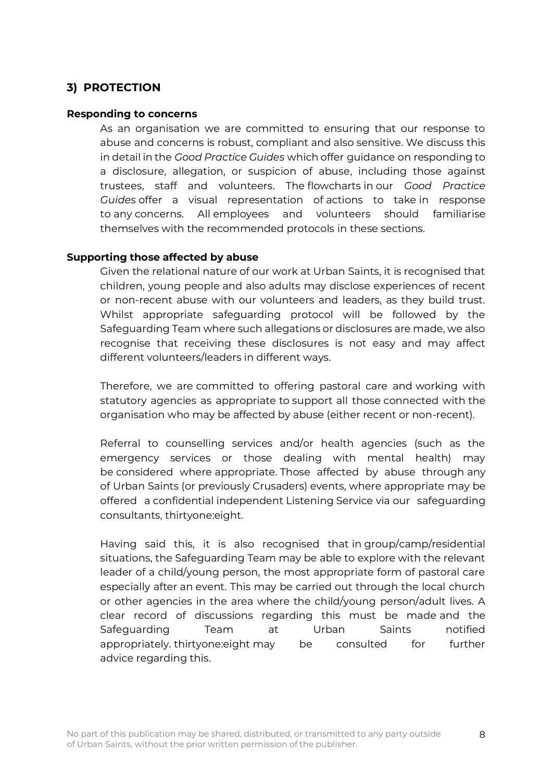# **3) PROTECTION**

#### **Responding to concerns**

As an organisation we are committed to ensuring that our response to abuse and concerns is robust, compliant and also sensitive. We discuss this in detail in the *Good Practice Guides* which offer guidance on responding to a disclosure, allegation, or suspicion of abuse, including those against trustees, staff and volunteers. The flowcharts in our *Good Practice Guides* offer a visual representation of actions to take in response to any concerns. All employees and volunteers should familiarise themselves with the recommended protocols in these sections.

### **Supporting those affected by abuse**

Given the relational nature of our work at Urban Saints, it is recognised that children, young people and also adults may disclose experiences of recent or non-recent abuse with our volunteers and leaders, as they build trust. Whilst appropriate safeguarding protocol will be followed by the Safeguarding Team where such allegations or disclosures are made, we also recognise that receiving these disclosures is not easy and may affect different volunteers/leaders in different ways.

Therefore, we are committed to offering pastoral care and working with statutory agencies as appropriate to support all those connected with the organisation who may be affected by abuse (either recent or non-recent).

Referral to counselling services and/or health agencies (such as the emergency services or those dealing with mental health) may be considered where appropriate. Those affected by abuse through any of Urban Saints (or previously Crusaders) events, where appropriate may be offered a confidential independent Listening Service via our safeguarding consultants, thirtyone:eight.

Having said this, it is also recognised that in group/camp/residential situations, the Safeguarding Team may be able to explore with the relevant leader of a child/young person, the most appropriate form of pastoral care especially after an event. This may be carried out through the local church or other agencies in the area where the child/young person/adult lives. A clear record of discussions regarding this must be made and the Safeguarding Team at Urban Saints notified appropriately. thirtyone:eight may be consulted for further advice regarding this.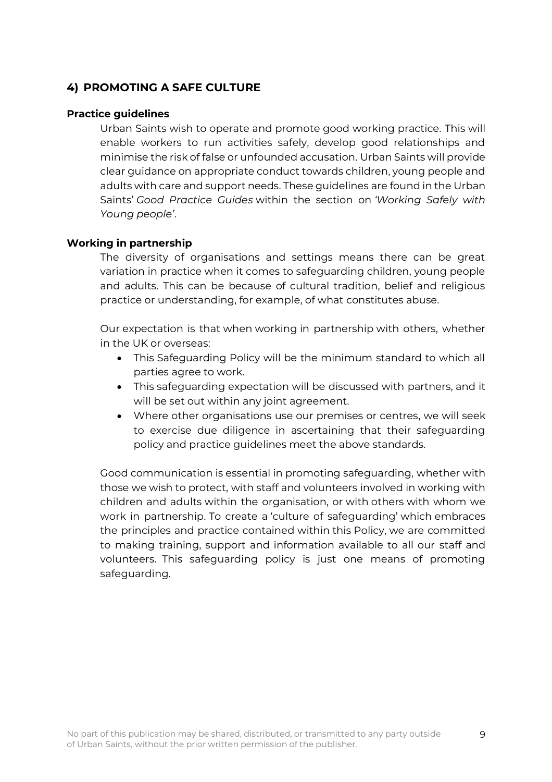# **4) PROMOTING A SAFE CULTURE**

### **Practice guidelines**

Urban Saints wish to operate and promote good working practice. This will enable workers to run activities safely, develop good relationships and minimise the risk of false or unfounded accusation. Urban Saints will provide clear guidance on appropriate conduct towards children, young people and adults with care and support needs. These guidelines are found in the Urban Saints' *Good Practice Guides* within the section on *'Working Safely with Young people'*.

### **Working in partnership**

The diversity of organisations and settings means there can be great variation in practice when it comes to safeguarding children, young people and adults. This can be because of cultural tradition, belief and religious practice or understanding, for example, of what constitutes abuse.

Our expectation is that when working in partnership with others, whether in the UK or overseas:

- This Safeguarding Policy will be the minimum standard to which all parties agree to work.
- This safeguarding expectation will be discussed with partners, and it will be set out within any joint agreement.
- Where other organisations use our premises or centres, we will seek to exercise due diligence in ascertaining that their safeguarding policy and practice guidelines meet the above standards.

Good communication is essential in promoting safeguarding, whether with those we wish to protect, with staff and volunteers involved in working with children and adults within the organisation, or with others with whom we work in partnership. To create a 'culture of safeguarding' which embraces the principles and practice contained within this Policy, we are committed to making training, support and information available to all our staff and volunteers. This safeguarding policy is just one means of promoting safeguarding.